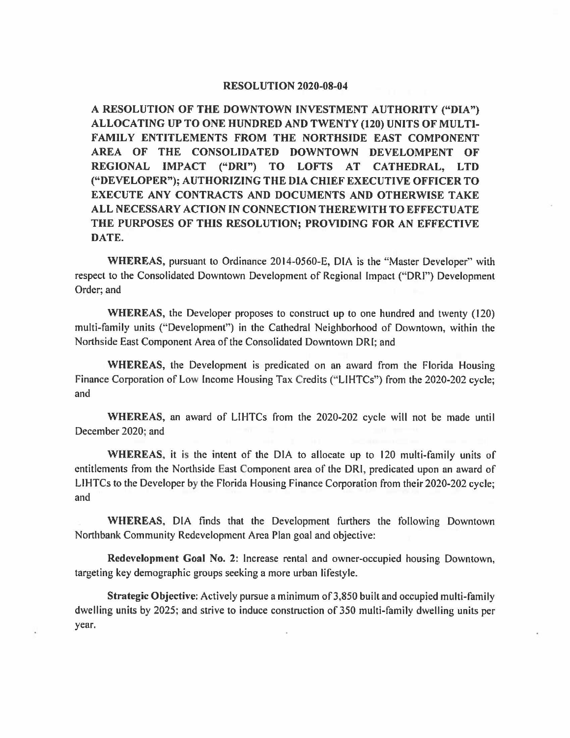## **RESOLUTION 2020-08-04**

**A RESOLUTION OF THE DOWNTOWN INVESTMENT AUTHORITY ("DIA") ALLOCATING UP TO ONE HUNDRED AND TWENTY (120) UNITS OF MULTI-FAMILY ENTITLEMENTS FROM THE NORTHSIDE EAST COMPONENT AREA OF THE CONSOLIDATED DOWNTOWN DEVELOMPENT OF REGIONAL IMPACT ("ORI") TO LOFTS AT CATHEDRAL, LTD ("DEVELOPER"); AUTHORIZING THE DIA CHIEF EXECUTIVE OFFICER TO EXECUTE ANY CONTRACTS AND DOCUMENTS AND OTHERWISE TAKE ALL NECESSARY ACTION IN CONNECTION THEREWITH TO EFFECTUATE THE PURPOSES OF THIS RESOLUTION; PROVIDING FOR AN EFFECTIVE DATE.** 

**WHEREAS,** pursuant to Ordinance 2014-0560-E, DIA is the "Master Developer" with respect to the Consolidated Downtown Development of Regional Impact ("DRI") Development Order; and

**WHEREAS,** the Developer proposes to construct up to one hundred and twenty ( 120) multi-family units ("Development") in the Cathedral Neighborhood of Downtown, within the Northside East Component Area of the Consolidated Downtown ORI; and

**WHEREAS,** the Development is predicated on an award from the Florida Housing Finance Corporation of Low Income Housing Tax Credits (''LIHTCs") from the 2020-202 cycle; and

**WHEREAS,** an award of LIHTCs from the 2020-202 cycle will not be made until December 2020; and

**WHEREAS.** it is the intent of the DIA to allocate up to 120 multi-family units of entitlements from the Northside East Component area of the ORI, predicated upon an award of LIHTCs to the Developer by the Florida Housing Finance Corporation from their 2020-202 cycle; and

**WHEREAS,** DIA finds that the Development furthers the following Downtown Northbank Community Redevelopment Area Plan goal and objective:

**Redevelopment Goal No. 2:** Increase rental and owner-occupied housing Downtown, targeting key demographic groups seeking a more urban lifestyle.

**Strategic Objective:** Actively pursue a minimum of 3,850 built and occupied multi-family dwelling units by 2025; and strive to induce construction of 350 multi-family dwelling units per year.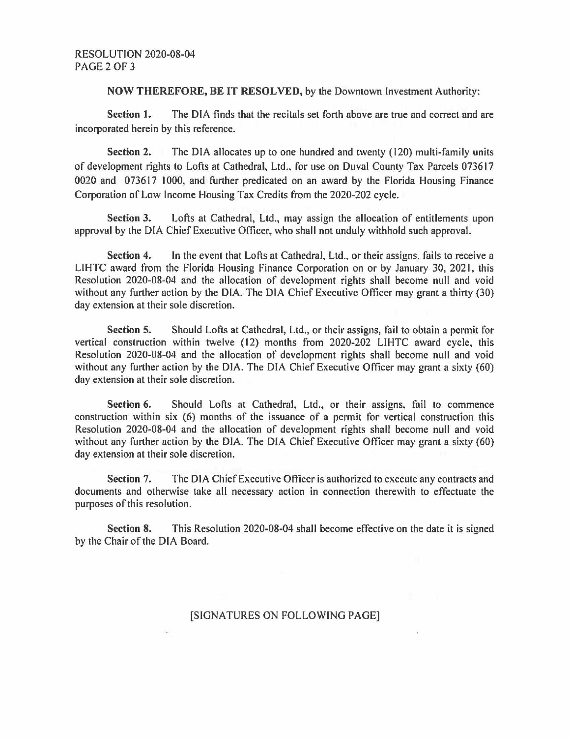## **NOW THEREFORE, BE IT RESOLVED,** by the Downtown Investment Authority:

Section 1. The DIA finds that the recitals set forth above are true and correct and are incorporated herein by this reference.

Section 2. The DIA allocates up to one hundred and twenty (120) multi-family units of development rights to Lofts at Cathedral, Ltd., for use on Duval County Tax Parcels 073617 0020 and 073617 1000, and further predicated on an award by the Florida Housing Finance Corporation of Low Income Housing Tax Credits from the 2020-202 cycle.

**Section 3.** Lofts at Cathedral, Ltd., may assign the allocation of entitlements upon approval by the DIA Chief Executive Officer, who shall not unduly withhold such approval.

**Section 4.** In the event that Lofts at Cathedral, Ltd., or their assigns, fails to receive a LIHTC award from the Florida Housing Finance Corporation on or by January 30, 2021, this Resolution 2020-08-04 and the allocation of development rights shall become null and void without any further action by the DIA. The DIA Chief Executive Officer may grant a thirty (30} day extension at their sole discretion.

**Section 5.** Should Lofts at Cathedral, Ltd., or their assigns, fail to obtain a permit for vertical construction within twelve ( 12} months from 2020-202 LIHTC award cycle, this Resolution 2020-08-04 and the allocation of development rights shall become null and void without any further action by the DIA. The DIA Chief Executive Officer may grant a sixty (60) day extension at their sole discretion.

**Section 6.** Should Lofts at Cathedral, Ltd., or their assigns, fail to commence construction within six (6) months of the issuance of a permit for vertical construction this Resolution 2020-08-04 and the allocation of development rights shall become null and void without any further action by the DIA. The DIA Chief Executive Officer may grant a sixty (60) day extension at their sole discretion.

**Section** 7. The DIA Chief Executive Officer is authorized to execute any contracts and documents and otherwise take all necessary action in connection therewith to effectuate the purposes of this resolution.

**Section 8.** This Resolution 2020-08-04 shall become effective on the date it is signed by the Chair of the DIA Board.

## [SIGNATURES ON FOLLOWING PAGE]